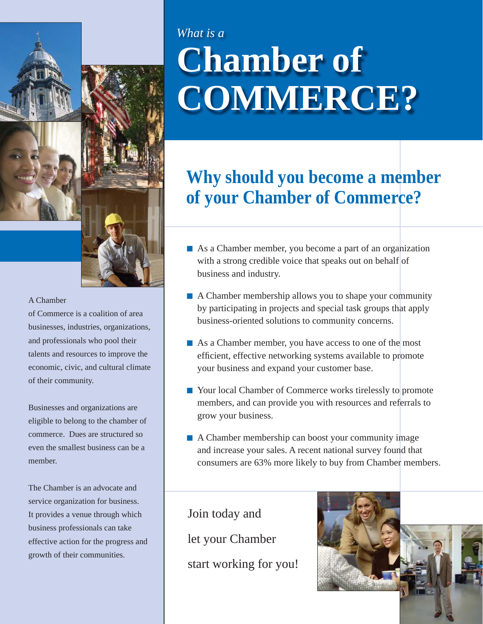

### A Chamber

of Commerce is a coalition of area businesses, industries, organizations, and professionals who pool their talents and resources to improve the economic, civic, and cultural climate of their community.

Businesses and organizations are eligible to belong to the chamber of commerce. Dues are structured so even the smallest business can be a member.

The Chamber is an advocate and service organization for business. It provides a venue through which business professionals can take effective action for the progress and growth of their communities.

## **Chamber of** *What is a* **COMMERCE?**

### **Why should you become a member of your Chamber of Commerce?**

- As a Chamber member, you become a part of an organization with a strong credible voice that speaks out on behalf of business and industry.
- A Chamber membership allows you to shape your community by participating in projects and special task groups that apply business-oriented solutions to community concerns.
- As a Chamber member, you have access to one of the most efficient, effective networking systems available to promote your business and expand your customer base.
- Your local Chamber of Commerce works tirelessly to promote members, and can provide you with resources and referrals to grow your business.
- A Chamber membership can boost your community image and increase your sales. A recent national survey found that consumers are 63% more likely to buy from Chamber members.

Join today and let your Chamber start working for you!